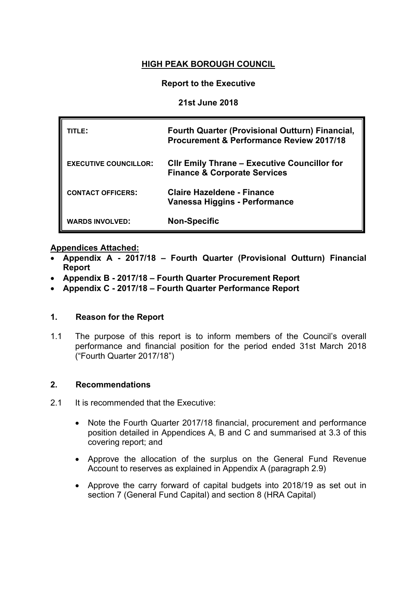# **HIGH PEAK BOROUGH COUNCIL**

### **Report to the Executive**

### **21st June 2018**

| TITLE:                       | <b>Fourth Quarter (Provisional Outturn) Financial,</b><br>Procurement & Performance Review 2017/18 |
|------------------------------|----------------------------------------------------------------------------------------------------|
| <b>EXECUTIVE COUNCILLOR:</b> | <b>CIIr Emily Thrane - Executive Councillor for</b><br><b>Finance &amp; Corporate Services</b>     |
| <b>CONTACT OFFICERS:</b>     | <b>Claire Hazeldene - Finance</b><br>Vanessa Higgins - Performance                                 |
| <b>WARDS INVOLVED:</b>       | <b>Non-Specific</b>                                                                                |

### **Appendices Attached:**

- **[Appendix](SMDC%2520-%2520Q4%2520(Prov%2520Out)%252011-12%2520App%2520A%2520(11-07-12).doc) A - 2017/18 – Fourth Quarter (Provisional Outturn) Financial Report**
- **[Appendix](SMDC%2520-%2520Q4%2520(Prov%2520Out)%252011-12%2520App%2520B%2520(11-07-12).doc) B - 2017/18 – Fourth Quarter Procurement Report**
- **[Appendix](SMDC%2520-%2520Q4%2520(Prov%2520Out)%252011-12%2520App%2520C%2520(11-07-12).doc) C - 2017/18 – Fourth Quarter Performance Report**

#### **1. Reason for the Report**

1.1 The purpose of this report is to inform members of the Council's overall performance and financial position for the period ended 31st March 2018 ("Fourth Quarter 2017/18")

#### **2. Recommendations**

- 2.1 It is recommended that the Executive:
	- Note the Fourth Quarter 2017/18 financial, procurement and performance position detailed in Appendices A, B and C and summarised at 3.3 of this covering report; and
	- Approve the allocation of the surplus on the General Fund Revenue Account to reserves as explained in Appendix A (paragraph 2.9)
	- Approve the carry forward of capital budgets into 2018/19 as set out in section 7 (General Fund Capital) and section 8 (HRA Capital)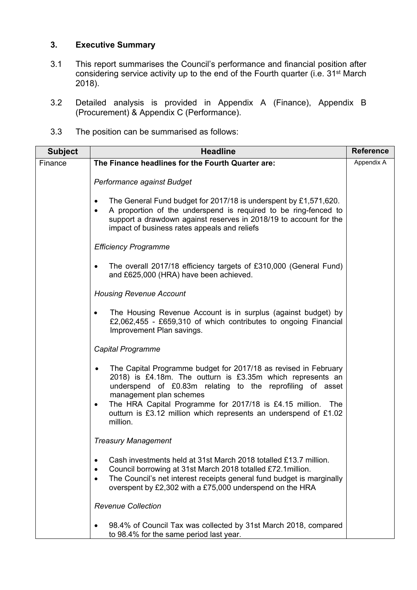# **3. Executive Summary**

- 3.1 This report summarises the Council's performance and financial position after considering service activity up to the end of the Fourth quarter (i.e. 31st March 2018).
- 3.2 Detailed analysis is provided in Appendix A (Finance), Appendix B (Procurement) & Appendix C (Performance).
- 3.3 The position can be summarised as follows:

| <b>Subject</b> | <b>Headline</b>                                                                                                                                                                                                                                                                                                                                                                                   | <b>Reference</b> |
|----------------|---------------------------------------------------------------------------------------------------------------------------------------------------------------------------------------------------------------------------------------------------------------------------------------------------------------------------------------------------------------------------------------------------|------------------|
| Finance        | The Finance headlines for the Fourth Quarter are:                                                                                                                                                                                                                                                                                                                                                 | Appendix A       |
|                | Performance against Budget                                                                                                                                                                                                                                                                                                                                                                        |                  |
|                | The General Fund budget for 2017/18 is underspent by £1,571,620.<br>٠<br>A proportion of the underspend is required to be ring-fenced to<br>$\bullet$<br>support a drawdown against reserves in 2018/19 to account for the<br>impact of business rates appeals and reliefs                                                                                                                        |                  |
|                | <b>Efficiency Programme</b>                                                                                                                                                                                                                                                                                                                                                                       |                  |
|                | The overall 2017/18 efficiency targets of £310,000 (General Fund)<br>$\bullet$<br>and £625,000 (HRA) have been achieved.                                                                                                                                                                                                                                                                          |                  |
|                | <b>Housing Revenue Account</b>                                                                                                                                                                                                                                                                                                                                                                    |                  |
|                | The Housing Revenue Account is in surplus (against budget) by<br>£2,062,455 - £659,310 of which contributes to ongoing Financial<br>Improvement Plan savings.                                                                                                                                                                                                                                     |                  |
|                | <b>Capital Programme</b>                                                                                                                                                                                                                                                                                                                                                                          |                  |
|                | The Capital Programme budget for 2017/18 as revised in February<br>$\bullet$<br>2018) is £4.18m. The outturn is £3.35m which represents an<br>underspend of £0.83m relating to the reprofiling of asset<br>management plan schemes<br>The HRA Capital Programme for 2017/18 is £4.15 million.<br>The<br>$\bullet$<br>outturn is £3.12 million which represents an underspend of £1.02<br>million. |                  |
|                | <b>Treasury Management</b>                                                                                                                                                                                                                                                                                                                                                                        |                  |
|                | Cash investments held at 31st March 2018 totalled £13.7 million.<br>Council borrowing at 31st March 2018 totalled £72.1 million.<br>The Council's net interest receipts general fund budget is marginally<br>٠<br>overspent by £2,302 with a £75,000 underspend on the HRA                                                                                                                        |                  |
|                | <b>Revenue Collection</b>                                                                                                                                                                                                                                                                                                                                                                         |                  |
|                | 98.4% of Council Tax was collected by 31st March 2018, compared<br>to 98.4% for the same period last year.                                                                                                                                                                                                                                                                                        |                  |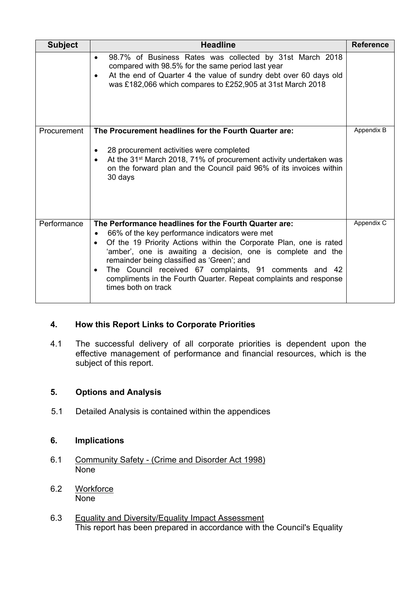| <b>Subject</b> | <b>Headline</b>                                                                                                                                                                                                                                                                                                                                                                                                                                                                          | <b>Reference</b> |
|----------------|------------------------------------------------------------------------------------------------------------------------------------------------------------------------------------------------------------------------------------------------------------------------------------------------------------------------------------------------------------------------------------------------------------------------------------------------------------------------------------------|------------------|
|                | 98.7% of Business Rates was collected by 31st March 2018<br>$\bullet$<br>compared with 98.5% for the same period last year<br>At the end of Quarter 4 the value of sundry debt over 60 days old<br>$\bullet$<br>was £182,066 which compares to £252,905 at 31st March 2018                                                                                                                                                                                                               |                  |
| Procurement    | The Procurement headlines for the Fourth Quarter are:<br>28 procurement activities were completed<br>$\bullet$<br>At the 31 <sup>st</sup> March 2018, 71% of procurement activity undertaken was<br>on the forward plan and the Council paid 96% of its invoices within<br>30 days                                                                                                                                                                                                       | Appendix B       |
| Performance    | The Performance headlines for the Fourth Quarter are:<br>66% of the key performance indicators were met<br>$\bullet$<br>Of the 19 Priority Actions within the Corporate Plan, one is rated<br>$\bullet$<br>'amber', one is awaiting a decision, one is complete and the<br>remainder being classified as 'Green'; and<br>The Council received 67 complaints, 91 comments and 42<br>$\bullet$<br>compliments in the Fourth Quarter. Repeat complaints and response<br>times both on track | Appendix C       |

## **4. How this Report Links to Corporate Priorities**

4.1 The successful delivery of all corporate priorities is dependent upon the effective management of performance and financial resources, which is the subject of this report.

## **5. Options and Analysis**

5.1 Detailed Analysis is contained within the appendices

## **6. Implications**

- 6.1 Community Safety (Crime and Disorder Act 1998) None
- 6.2 Workforce None
- 6.3 Equality and Diversity/Equality Impact Assessment This report has been prepared in accordance with the Council's Equality